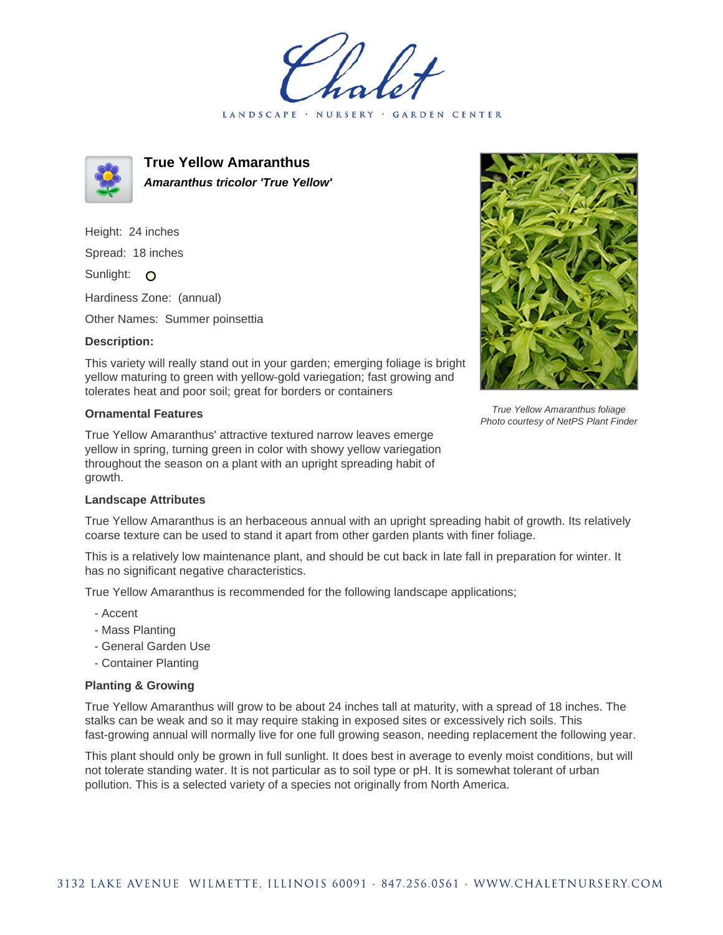LANDSCAPE · NURSERY GARDEN CENTER



**True Yellow Amaranthus Amaranthus tricolor 'True Yellow'**

Height: 24 inches Spread: 18 inches Sunlight: O

Hardiness Zone: (annual)

Other Names: Summer poinsettia

## **Description:**

This variety will really stand out in your garden; emerging foliage is bright yellow maturing to green with yellow-gold variegation; fast growing and tolerates heat and poor soil; great for borders or containers

## **Ornamental Features**

True Yellow Amaranthus' attractive textured narrow leaves emerge yellow in spring, turning green in color with showy yellow variegation throughout the season on a plant with an upright spreading habit of growth.



True Yellow Amaranthus foliage Photo courtesy of NetPS Plant Finder

## **Landscape Attributes**

True Yellow Amaranthus is an herbaceous annual with an upright spreading habit of growth. Its relatively coarse texture can be used to stand it apart from other garden plants with finer foliage.

This is a relatively low maintenance plant, and should be cut back in late fall in preparation for winter. It has no significant negative characteristics.

True Yellow Amaranthus is recommended for the following landscape applications;

- Accent
- Mass Planting
- General Garden Use
- Container Planting

## **Planting & Growing**

True Yellow Amaranthus will grow to be about 24 inches tall at maturity, with a spread of 18 inches. The stalks can be weak and so it may require staking in exposed sites or excessively rich soils. This fast-growing annual will normally live for one full growing season, needing replacement the following year.

This plant should only be grown in full sunlight. It does best in average to evenly moist conditions, but will not tolerate standing water. It is not particular as to soil type or pH. It is somewhat tolerant of urban pollution. This is a selected variety of a species not originally from North America.